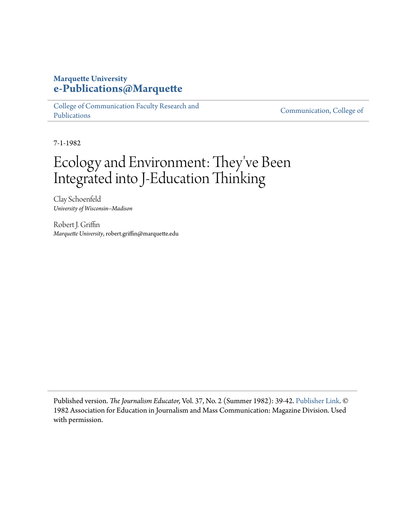### **Marquette University [e-Publications@Marquette](https://epublications.marquette.edu)**

[College of Communication Faculty Research and](https://epublications.marquette.edu/comm_fac) [Publications](https://epublications.marquette.edu/comm_fac)

[Communication, College of](https://epublications.marquette.edu/communication)

7-1-1982

# Ecology and Environment: They 've Been Integrated into J-Education Thinking

Clay Schoenfeld *University of Wisconsin--Madison*

Robert J. Griffin *Marquette University*, robert.griffin@marquette.edu

Published version. *The Journalism Educator,* Vol. 37, No. 2 (Summer 1982): 39-42. [Publisher Link](http://www.aejmc.org/home/publications/jmc-educator/). © 1982 Association for Education in Journalism and Mass Communication: Magazine Division. Used with permission.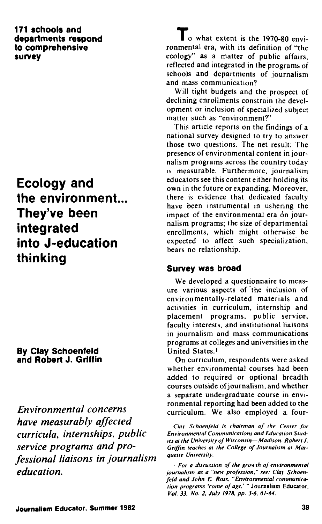#### **171 schools and departments respond to comprehensive survey**

## **Ecology and the environment... They've been integrated into J-education thinking**

### **By Clay Schoenfeld and Robert J. Griffin**

*Environmental concerns have measurably affected curricula, internships, public service programs and professional liaisons in journalism education.*

 $\Gamma$  o what extent is the 1970-80 environmental era, with its definition of "the ecology" as a matter of public affairs, reflected and integrated in the programs of schools and departments of journalism and mass communication?

Will tight budgets and the prospect of declining enrollments constrain the development or inclusion of specialized subject matter such as "environment?"

This article reports on the findings of a national survey designed to try to answer those two questions. The net result: The presence of environmental content in journalism programs across the country today IS measurable. Furthermore, journalism educators see this content either holding its own in the future or expanding. Moreover, there is evidence that dedicated faculty have been instrumental in ushering the impact of the environmental era on journalism programs; the size of departmental enrollments, which might otherwise be expected to affect such specialization, bears no relationship.

### **Survey was broad**

We developed a questionnaire to measure various aspects of the inclusion of environmentally-related materials and activities in curriculum, internship and placement programs, public service, faculty interests, and institutional liaisons in journalism and mass communications programs at colleges and universities in the United States.'

On curriculum, respondents were asked whether environmental courses had been added to required or optional breadth courses outside of journalism, and whether a separate undergraduate course in environmental reporting had been added to the curriculum. We also employed a four-

*Clav Schoenfeld is chairman of the Center for Environmenlal Communications and Education Studies at the University of tVisconsin— Madison. Robert J. Griffin teaches at the College of Journalism at Marquette University.*

*For a discussion of the growth of environmental journalism as a "new profession," see: Clay Schoenfeld and John E. Ross. "Environmental communication programs 'come of age,' "* **Journalism Educator.** *Vol. 33. No. 2. July 1978. pp. 3-6, 61-64.*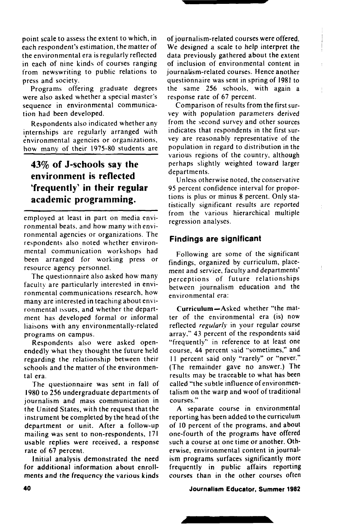point scale to assess the extent to which, in each respondent's estimation, the matter *of* the environmental era is regularly reflected in each of nine kinds of courses ranging from newswriting to public relations to press and society.

Programs offering graduate degrees were also asked whether a special master's sequence in environmental communication had been developed.

Respondents also indicated whether any internships are regularly arranged with environmental agencies or organizations, how many of their 1975-80 students are

### **43% of J-schools say the environment is reflected 'frequently' in their regular academic programming.**

employed at least in part on media environmental beats, and how many with environmental agencies or organizations. The respondents also noted whether environmental communication workshops had been arranged for working press or resource agency personnel.

The questionnaire also asked how many faculty are particularly interested in environmental communications research, how many are interested in teaching about environmental issues, and whether the department has developed formal or informal liaisons with any environmentally-related programs on campus.

Respondents also were asked openendedly what they thought the future held regarding the relationship between their schools and the matter of the environmental era.

The questionnaire was sent in fall *of* 1980 to 256 undergraduate departments of journalism and mass communication in the United States, with the request that the instrument be completed by the head of the department or unit. After a follow-up mailing was sent to non-respondents, 171 usable replies were received, a response rate of 67 percent.

Initial analysis demonstrated the need for additional information about enrollments and the frequency the various kinds

of journalism-related courses were offered. We designed a scale to help interpret the data previously gathered about the extent of inclusion of environmental content in journalism-related courses. Hence another questionnaire was sent in spring of 1981 to the same 256 schools, with again a response rate of 67 percent.

Comparison of results from the first survey with population parameters derived from the second survey and other sources indicates that respondents in the first survey are reasonably representative of the population in regard to distribution in the various regions of the country, although perhaps slightly weighted toward larger departments.

Unless otherwise noted, the conservative 95 percent confidence interval for proportions is plus or minus 8 percent. Only statistically significant results are reported from the various hierarchical multiple regression analyses.

#### **Findings are significant**

Following are some of the significant findings, organized by curriculum, placement and service, faculty and departments' perceptions of future relationships between journalism education and the environmental era:

Curriculum—Asked whether "the matter *of* the environmental era (is) now reflected *regularly* in your regular course array," 43 percent of the respondents said "frequently" in reference to at least one course, 44 percent said "sometimes," and 11 percent said only "rarely" or "never." (The remainder gave no answer.) The results may be traceable to what has been called "the subtle influence of environmentalism on the warp and woof of traditional courses."

A separate course in environmental reporting has been added to the curriculum of 10 percent of the programs, and about one-fourth of the programs have offered such a course at one time or another. Otherwise, environmental content in journalism programs surfaces significantly more frequently in public affairs reporting courses than in the other courses often

#### **Journalism Educator, Summer 1982**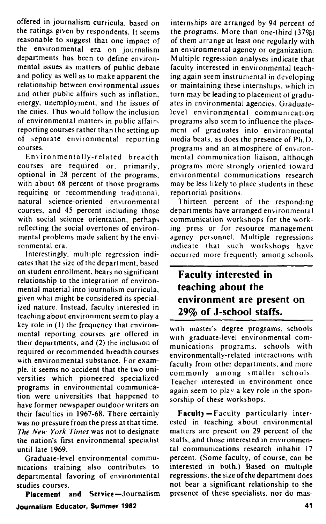offered in journalism curricula, based on the ratings given by respondents. It seems reasonable to suggest that one impact of the environmental era on journalism departments has been to define environmental issues as matters of public debate and policy as well as to make apparent the relationship between environmental issues and other public affairs such as inflation, energy, unemployment, and the issues of the cities. Thus would follow the inclusion of environmental matters in public affairs reporting courses rather than the setting up of separate environmental reporting courses.

Environmentally-related breadth courses are required or, primarily, optional in 28 percent of the programs, with about 68 percent of those programs requiring or recommending traditional, natural science-oriented environmental courses, and 45 percent including those with social science orientation, perhaps reflecting the social overtones of environmental problems made salient by the environmental era.

Interestingly, multiple regression indicates that the size of the department, based on student enrollment, bears no significant relationship to the integration of environmental material into journalism curricula, given what might be considered its specialized nature. Instead, faculty interested in teaching about environment seem to play a key role in (1) the frequency that environmental reporting courses are offered in their departments, and (2) the inclusion of required or recommended breadth courses with environmental substance. For example, it seems no accident that the two universities which pioneered specialized programs in environmental communication were universities that happened to have former newspaper outdoor writers on their faculties in 1967-68. There certainly was no pressure from the press at that time. *The New York Times* was not to designate the nation's first environmental specialist until late 1969.

Graduate-level environmental communications training also contributes to departmental favoring of environmental studies courses.

**Placement and Service—**Journalism **Journalism Educator, Summer 1982**

internships are arranged by 94 percent of the programs. More than one-third (37%) of them arrange at least one regularly with an environmental agency or organization. Multiple regression analyses indicate that faculty interested in environmental teaching again seem instrumental in developing or maintaining these internships, which in turn may be leading to placement of graduates in environmental agencies. Graduatelevel environmental communication programs also seem to influence the placement of graduates into environmental media beats, as does the presence of Ph.D. programs and an atmosphere of environmental communication liaison, although programs more strongly oriented toward environmental communications research may be less likely to place students in these reportorial positions.

Thirteen percent of the responding departments have arranged environmental communication workshops for the working press or for resource management agency personnel. Multiple regressions indicate that such workshops have occurred more frequently among schools

### **Faculty interested in teaching about the environment are present on 29% of J-school staffs.**

with master's degree programs, schools with graduate-level environmental communications programs, schools with environmentally-related interactions with faculty from other departments, and more commonly among smaller schools. Teacher interested in environment once again seem to play a key role in the sponsorship of these workshops.

**Faculty** — Faculty particularly interested in teaching about environmental matters are present on 29 percent of the staffs, and those interested in environmental communications research inhabit 17 percent. (Some faculty, of course, can be interested in both.) Based on multiple regressions, the size of the department does not bear a significant relationship to the presence of these specialists, nor do mas